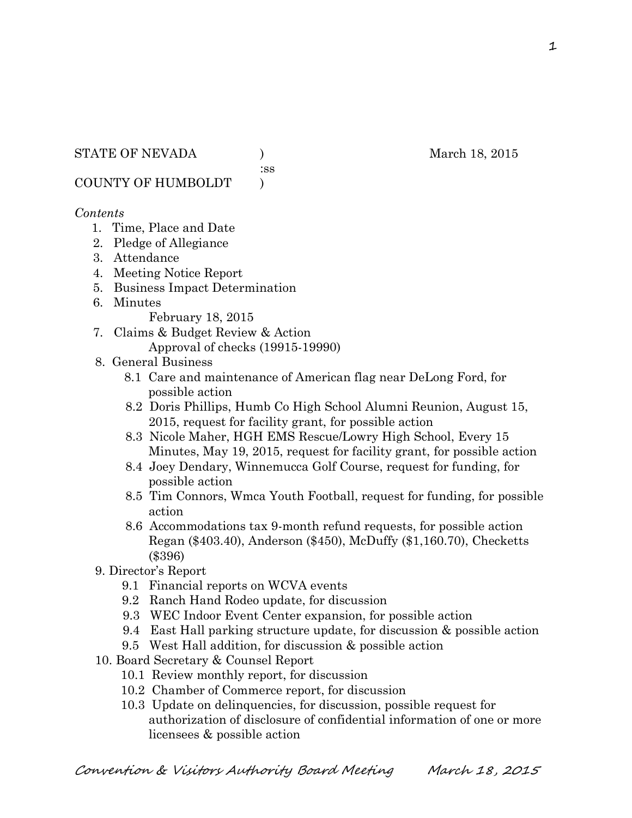:ss

COUNTY OF HUMBOLDT )

#### *Contents*

- 1. Time, Place and Date
- 2. Pledge of Allegiance
- 3. Attendance
- 4. Meeting Notice Report
- 5. Business Impact Determination
- 6. Minutes

February 18, 2015

- 7. Claims & Budget Review & Action Approval of checks (19915-19990)
- 8. General Business
	- 8.1 Care and maintenance of American flag near DeLong Ford, for possible action
	- 8.2 Doris Phillips, Humb Co High School Alumni Reunion, August 15, 2015, request for facility grant, for possible action
	- 8.3 Nicole Maher, HGH EMS Rescue/Lowry High School, Every 15 Minutes, May 19, 2015, request for facility grant, for possible action
	- 8.4 Joey Dendary, Winnemucca Golf Course, request for funding, for possible action
	- 8.5 Tim Connors, Wmca Youth Football, request for funding, for possible action
	- 8.6 Accommodations tax 9-month refund requests, for possible action Regan (\$403.40), Anderson (\$450), McDuffy (\$1,160.70), Checketts (\$396)
- 9. Director's Report
	- 9.1 Financial reports on WCVA events
	- 9.2 Ranch Hand Rodeo update, for discussion
	- 9.3 WEC Indoor Event Center expansion, for possible action
	- 9.4 East Hall parking structure update, for discussion & possible action
	- 9.5 West Hall addition, for discussion & possible action
- 10. Board Secretary & Counsel Report
	- 10.1 Review monthly report, for discussion
	- 10.2 Chamber of Commerce report, for discussion
	- 10.3 Update on delinquencies, for discussion, possible request for authorization of disclosure of confidential information of one or more licensees & possible action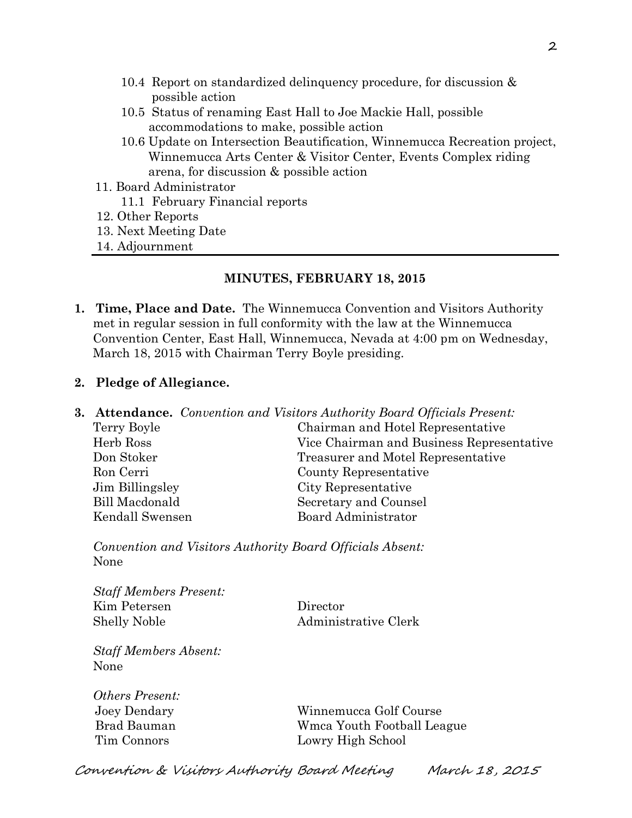- 10.4 Report on standardized delinquency procedure, for discussion & possible action
- 10.5 Status of renaming East Hall to Joe Mackie Hall, possible accommodations to make, possible action
- 10.6 Update on Intersection Beautification, Winnemucca Recreation project, Winnemucca Arts Center & Visitor Center, Events Complex riding arena, for discussion & possible action
- 11. Board Administrator
	- 11.1 February Financial reports
- 12. Other Reports
- 13. Next Meeting Date
- 14. Adjournment

### **MINUTES, FEBRUARY 18, 2015**

**1. Time, Place and Date.** The Winnemucca Convention and Visitors Authority met in regular session in full conformity with the law at the Winnemucca Convention Center, East Hall, Winnemucca, Nevada at 4:00 pm on Wednesday, March 18, 2015 with Chairman Terry Boyle presiding.

### **2. Pledge of Allegiance.**

- **3. Attendance.** *Convention and Visitors Authority Board Officials Present:*
	- Terry Boyle Chairman and Hotel Representative Herb Ross Vice Chairman and Business Representative Don Stoker Treasurer and Motel Representative Ron Cerri County Representative Jim Billingsley City Representative Bill Macdonald Secretary and Counsel Kendall Swensen Board Administrator

*Convention and Visitors Authority Board Officials Absent:* None

*Staff Members Present:* Kim Petersen Director Shelly Noble Administrative Clerk

*Staff Members Absent:* None

*Others Present:*

 Joey Dendary Winnemucca Golf Course Brad Bauman Wmca Youth Football League Tim Connors Lowry High School

Convention & Visitors Authority Board Meeting March 18, 2015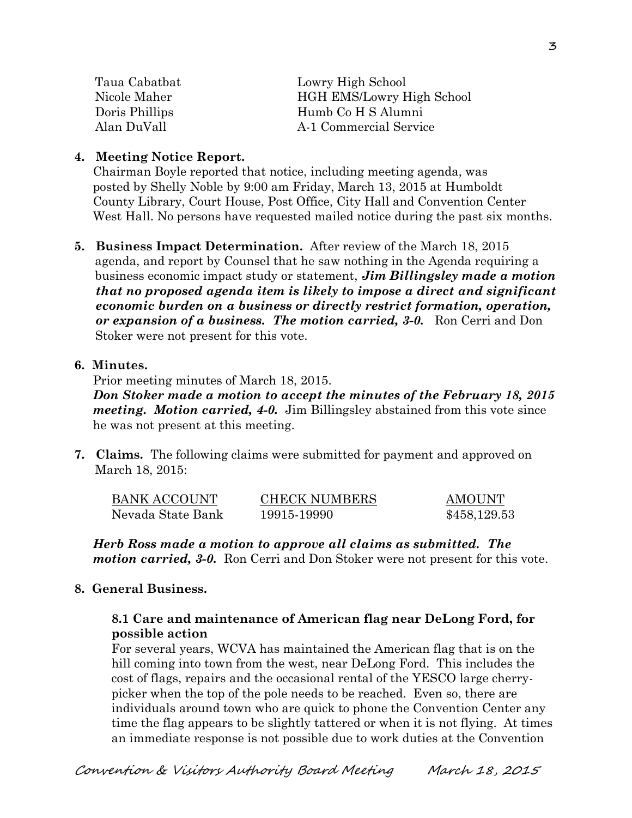| Taua Cabatbat  | Lowry High School                |  |
|----------------|----------------------------------|--|
| Nicole Maher   | <b>HGH EMS/Lowry High School</b> |  |
| Doris Phillips | Humb Co H S Alumni               |  |
| Alan DuVall    | A-1 Commercial Service           |  |

#### **4. Meeting Notice Report.**

Chairman Boyle reported that notice, including meeting agenda, was posted by Shelly Noble by 9:00 am Friday, March 13, 2015 at Humboldt County Library, Court House, Post Office, City Hall and Convention Center West Hall. No persons have requested mailed notice during the past six months.

**5. Business Impact Determination.** After review of the March 18, 2015 agenda, and report by Counsel that he saw nothing in the Agenda requiring a business economic impact study or statement, *Jim Billingsley made a motion that no proposed agenda item is likely to impose a direct and significant economic burden on a business or directly restrict formation, operation, or expansion of a business. The motion carried, 3-0.* Ron Cerri and Don Stoker were not present for this vote.

#### **6. Minutes.**

Prior meeting minutes of March 18, 2015.

*Don Stoker made a motion to accept the minutes of the February 18, 2015 meeting. Motion carried, 4-0.* Jim Billingsley abstained from this vote since he was not present at this meeting.

**7. Claims.** The following claims were submitted for payment and approved on March 18, 2015:

| BANK ACCOUNT      | <b>CHECK NUMBERS</b> | <b>AMOUNT</b> |
|-------------------|----------------------|---------------|
| Nevada State Bank | 19915-19990          | \$458,129.53  |

*Herb Ross made a motion to approve all claims as submitted. The motion carried, 3-0.* Ron Cerri and Don Stoker were not present for this vote.

### **8. General Business.**

### **8.1 Care and maintenance of American flag near DeLong Ford, for possible action**

For several years, WCVA has maintained the American flag that is on the hill coming into town from the west, near DeLong Ford. This includes the cost of flags, repairs and the occasional rental of the YESCO large cherrypicker when the top of the pole needs to be reached. Even so, there are individuals around town who are quick to phone the Convention Center any time the flag appears to be slightly tattered or when it is not flying. At times an immediate response is not possible due to work duties at the Convention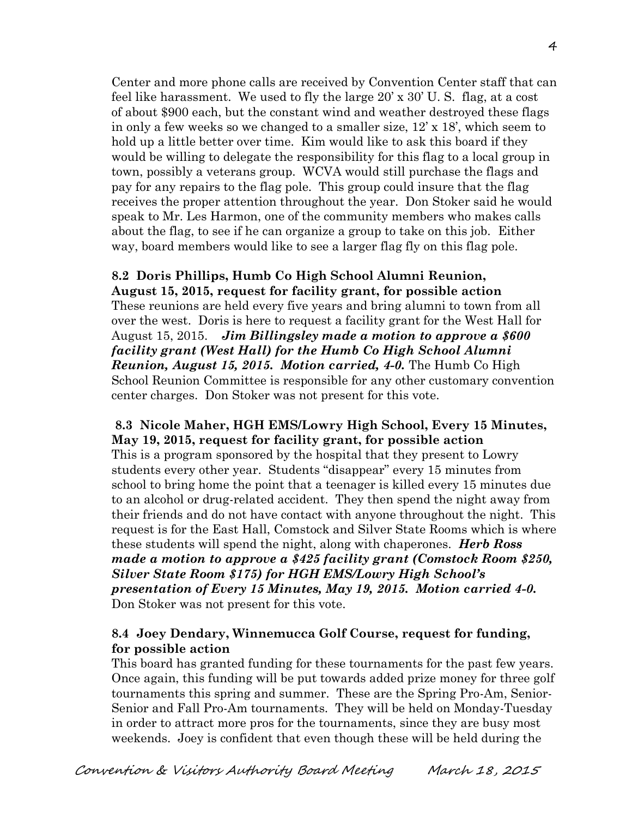Center and more phone calls are received by Convention Center staff that can feel like harassment. We used to fly the large 20' x 30' U. S. flag, at a cost of about \$900 each, but the constant wind and weather destroyed these flags in only a few weeks so we changed to a smaller size, 12' x 18', which seem to hold up a little better over time. Kim would like to ask this board if they would be willing to delegate the responsibility for this flag to a local group in town, possibly a veterans group. WCVA would still purchase the flags and pay for any repairs to the flag pole. This group could insure that the flag receives the proper attention throughout the year. Don Stoker said he would speak to Mr. Les Harmon, one of the community members who makes calls about the flag, to see if he can organize a group to take on this job. Either way, board members would like to see a larger flag fly on this flag pole.

#### **8.2 Doris Phillips, Humb Co High School Alumni Reunion,**

**August 15, 2015, request for facility grant, for possible action** These reunions are held every five years and bring alumni to town from all over the west. Doris is here to request a facility grant for the West Hall for August 15, 2015. *Jim Billingsley made a motion to approve a \$600 facility grant (West Hall) for the Humb Co High School Alumni Reunion, August 15, 2015. Motion carried, 4-0.* The Humb Co High School Reunion Committee is responsible for any other customary convention center charges. Don Stoker was not present for this vote.

### **8.3 Nicole Maher, HGH EMS/Lowry High School, Every 15 Minutes, May 19, 2015, request for facility grant, for possible action**

This is a program sponsored by the hospital that they present to Lowry students every other year. Students "disappear" every 15 minutes from school to bring home the point that a teenager is killed every 15 minutes due to an alcohol or drug-related accident. They then spend the night away from their friends and do not have contact with anyone throughout the night. This request is for the East Hall, Comstock and Silver State Rooms which is where these students will spend the night, along with chaperones. *Herb Ross made a motion to approve a \$425 facility grant (Comstock Room \$250, Silver State Room \$175) for HGH EMS/Lowry High School's presentation of Every 15 Minutes, May 19, 2015. Motion carried 4-0.*  Don Stoker was not present for this vote.

### **8.4 Joey Dendary, Winnemucca Golf Course, request for funding, for possible action**

This board has granted funding for these tournaments for the past few years. Once again, this funding will be put towards added prize money for three golf tournaments this spring and summer. These are the Spring Pro-Am, Senior-Senior and Fall Pro-Am tournaments. They will be held on Monday-Tuesday in order to attract more pros for the tournaments, since they are busy most weekends. Joey is confident that even though these will be held during the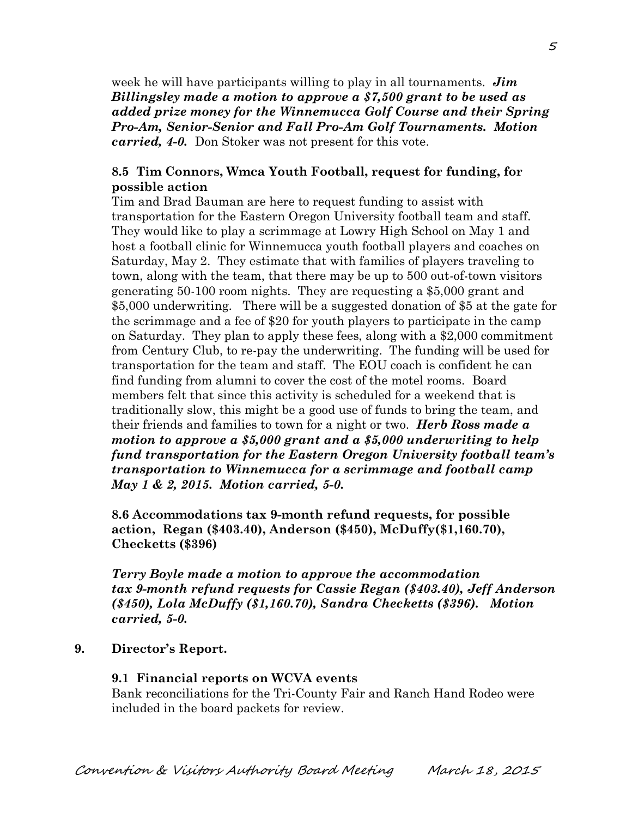week he will have participants willing to play in all tournaments. *Jim Billingsley made a motion to approve a \$7,500 grant to be used as added prize money for the Winnemucca Golf Course and their Spring Pro-Am, Senior-Senior and Fall Pro-Am Golf Tournaments. Motion carried, 4-0.* Don Stoker was not present for this vote.

### **8.5 Tim Connors, Wmca Youth Football, request for funding, for possible action**

Tim and Brad Bauman are here to request funding to assist with transportation for the Eastern Oregon University football team and staff. They would like to play a scrimmage at Lowry High School on May 1 and host a football clinic for Winnemucca youth football players and coaches on Saturday, May 2. They estimate that with families of players traveling to town, along with the team, that there may be up to 500 out-of-town visitors generating 50-100 room nights. They are requesting a \$5,000 grant and \$5,000 underwriting. There will be a suggested donation of \$5 at the gate for the scrimmage and a fee of \$20 for youth players to participate in the camp on Saturday. They plan to apply these fees, along with a \$2,000 commitment from Century Club, to re-pay the underwriting. The funding will be used for transportation for the team and staff. The EOU coach is confident he can find funding from alumni to cover the cost of the motel rooms. Board members felt that since this activity is scheduled for a weekend that is traditionally slow, this might be a good use of funds to bring the team, and their friends and families to town for a night or two. *Herb Ross made a motion to approve a \$5,000 grant and a \$5,000 underwriting to help fund transportation for the Eastern Oregon University football team's transportation to Winnemucca for a scrimmage and football camp May 1 & 2, 2015. Motion carried, 5-0.* 

**8.6 Accommodations tax 9-month refund requests, for possible action, Regan (\$403.40), Anderson (\$450), McDuffy(\$1,160.70), Checketts (\$396)**

*Terry Boyle made a motion to approve the accommodation tax 9-month refund requests for Cassie Regan (\$403.40), Jeff Anderson (\$450), Lola McDuffy (\$1,160.70), Sandra Checketts (\$396). Motion carried, 5-0.*

#### **9. Director's Report.**

#### **9.1 Financial reports on WCVA events**

Bank reconciliations for the Tri-County Fair and Ranch Hand Rodeo were included in the board packets for review.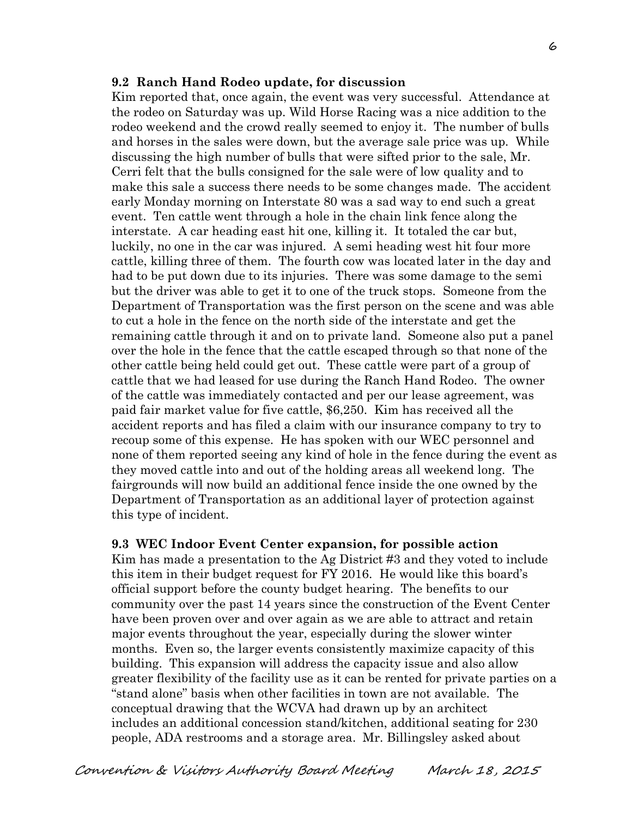#### **9.2 Ranch Hand Rodeo update, for discussion**

Kim reported that, once again, the event was very successful. Attendance at the rodeo on Saturday was up. Wild Horse Racing was a nice addition to the rodeo weekend and the crowd really seemed to enjoy it. The number of bulls and horses in the sales were down, but the average sale price was up. While discussing the high number of bulls that were sifted prior to the sale, Mr. Cerri felt that the bulls consigned for the sale were of low quality and to make this sale a success there needs to be some changes made. The accident early Monday morning on Interstate 80 was a sad way to end such a great event. Ten cattle went through a hole in the chain link fence along the interstate. A car heading east hit one, killing it. It totaled the car but, luckily, no one in the car was injured. A semi heading west hit four more cattle, killing three of them. The fourth cow was located later in the day and had to be put down due to its injuries. There was some damage to the semi but the driver was able to get it to one of the truck stops. Someone from the Department of Transportation was the first person on the scene and was able to cut a hole in the fence on the north side of the interstate and get the remaining cattle through it and on to private land. Someone also put a panel over the hole in the fence that the cattle escaped through so that none of the other cattle being held could get out. These cattle were part of a group of cattle that we had leased for use during the Ranch Hand Rodeo. The owner of the cattle was immediately contacted and per our lease agreement, was paid fair market value for five cattle, \$6,250. Kim has received all the accident reports and has filed a claim with our insurance company to try to recoup some of this expense. He has spoken with our WEC personnel and none of them reported seeing any kind of hole in the fence during the event as they moved cattle into and out of the holding areas all weekend long. The fairgrounds will now build an additional fence inside the one owned by the Department of Transportation as an additional layer of protection against this type of incident.

#### **9.3 WEC Indoor Event Center expansion, for possible action**

Kim has made a presentation to the Ag District #3 and they voted to include this item in their budget request for FY 2016. He would like this board's official support before the county budget hearing. The benefits to our community over the past 14 years since the construction of the Event Center have been proven over and over again as we are able to attract and retain major events throughout the year, especially during the slower winter months. Even so, the larger events consistently maximize capacity of this building. This expansion will address the capacity issue and also allow greater flexibility of the facility use as it can be rented for private parties on a "stand alone" basis when other facilities in town are not available. The conceptual drawing that the WCVA had drawn up by an architect includes an additional concession stand/kitchen, additional seating for 230 people, ADA restrooms and a storage area. Mr. Billingsley asked about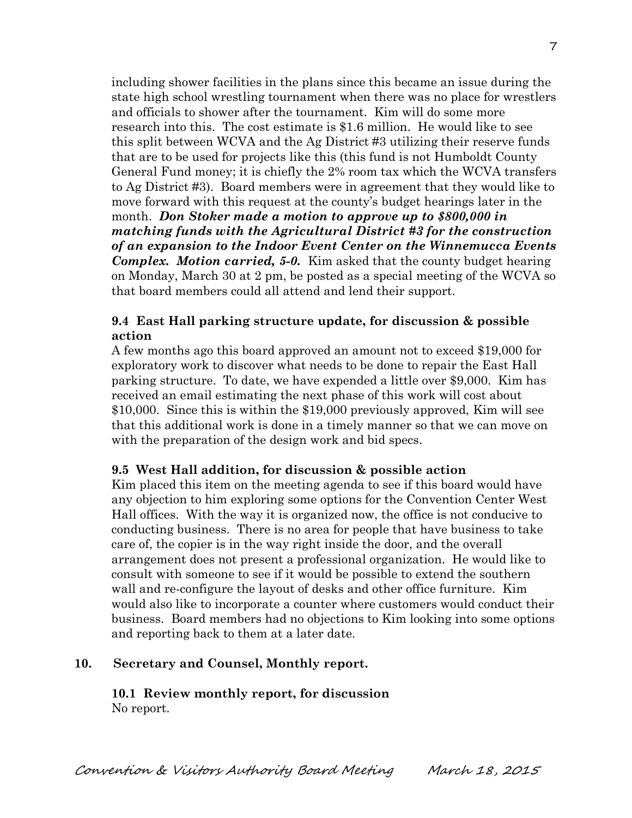including shower facilities in the plans since this became an issue during the state high school wrestling tournament when there was no place for wrestlers and officials to shower after the tournament. Kim will do some more research into this. The cost estimate is \$1.6 million. He would like to see this split between WCVA and the Ag District #3 utilizing their reserve funds that are to be used for projects like this (this fund is not Humboldt County General Fund money; it is chiefly the 2% room tax which the WCVA transfers to Ag District #3). Board members were in agreement that they would like to move forward with this request at the county's budget hearings later in the month. *Don Stoker made a motion to approve up to \$800,000 in matching funds with the Agricultural District #3 for the construction of an expansion to the Indoor Event Center on the Winnemucca Events Complex. Motion carried, 5-0.* Kim asked that the county budget hearing on Monday, March 30 at 2 pm, be posted as a special meeting of the WCVA so that board members could all attend and lend their support.

### **9.4 East Hall parking structure update, for discussion & possible action**

A few months ago this board approved an amount not to exceed \$19,000 for exploratory work to discover what needs to be done to repair the East Hall parking structure. To date, we have expended a little over \$9,000. Kim has received an email estimating the next phase of this work will cost about \$10,000. Since this is within the \$19,000 previously approved, Kim will see that this additional work is done in a timely manner so that we can move on with the preparation of the design work and bid specs.

### **9.5 West Hall addition, for discussion & possible action**

Kim placed this item on the meeting agenda to see if this board would have any objection to him exploring some options for the Convention Center West Hall offices. With the way it is organized now, the office is not conducive to conducting business. There is no area for people that have business to take care of, the copier is in the way right inside the door, and the overall arrangement does not present a professional organization. He would like to consult with someone to see if it would be possible to extend the southern wall and re-configure the layout of desks and other office furniture. Kim would also like to incorporate a counter where customers would conduct their business. Board members had no objections to Kim looking into some options and reporting back to them at a later date.

### **10. Secretary and Counsel, Monthly report.**

**10.1 Review monthly report, for discussion** No report.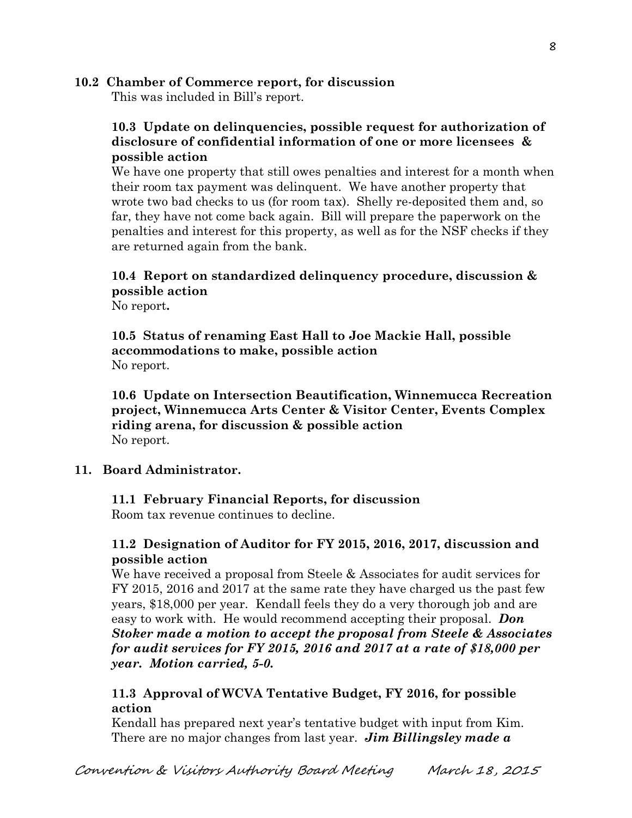### **10.2 Chamber of Commerce report, for discussion**

This was included in Bill's report.

## **10.3 Update on delinquencies, possible request for authorization of disclosure of confidential information of one or more licensees & possible action**

We have one property that still owes penalties and interest for a month when their room tax payment was delinquent. We have another property that wrote two bad checks to us (for room tax). Shelly re-deposited them and, so far, they have not come back again. Bill will prepare the paperwork on the penalties and interest for this property, as well as for the NSF checks if they are returned again from the bank.

# **10.4 Report on standardized delinquency procedure, discussion & possible action**

No report**.**

**10.5 Status of renaming East Hall to Joe Mackie Hall, possible accommodations to make, possible action** No report.

**10.6 Update on Intersection Beautification, Winnemucca Recreation project, Winnemucca Arts Center & Visitor Center, Events Complex riding arena, for discussion & possible action** No report.

### **11. Board Administrator.**

**11.1 February Financial Reports, for discussion**

Room tax revenue continues to decline.

## **11.2 Designation of Auditor for FY 2015, 2016, 2017, discussion and possible action**

We have received a proposal from Steele & Associates for audit services for FY 2015, 2016 and 2017 at the same rate they have charged us the past few years, \$18,000 per year.Kendall feels they do a very thorough job and are easy to work with. He would recommend accepting their proposal. *Don Stoker made a motion to accept the proposal from Steele & Associates for audit services for FY 2015, 2016 and 2017 at a rate of \$18,000 per year. Motion carried, 5-0.*

## **11.3 Approval of WCVA Tentative Budget, FY 2016, for possible action**

Kendall has prepared next year's tentative budget with input from Kim. There are no major changes from last year. *Jim Billingsley made a*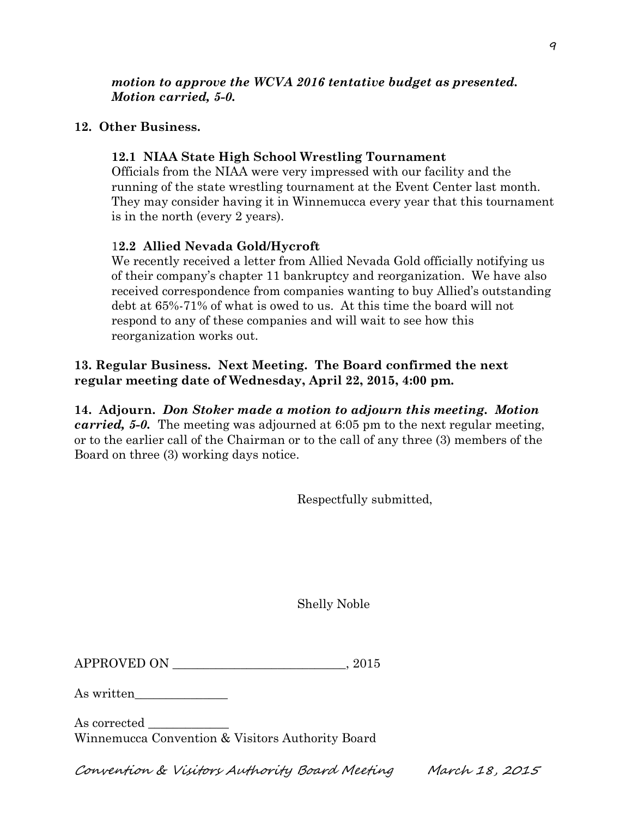## **12. Other Business.**

# **12.1 NIAA State High School Wrestling Tournament**

Officials from the NIAA were very impressed with our facility and the running of the state wrestling tournament at the Event Center last month. They may consider having it in Winnemucca every year that this tournament is in the north (every 2 years).

# 1**2.2 Allied Nevada Gold/Hycroft**

We recently received a letter from Allied Nevada Gold officially notifying us of their company's chapter 11 bankruptcy and reorganization. We have also received correspondence from companies wanting to buy Allied's outstanding debt at 65%-71% of what is owed to us. At this time the board will not respond to any of these companies and will wait to see how this reorganization works out.

## **13. Regular Business. Next Meeting. The Board confirmed the next regular meeting date of Wednesday, April 22, 2015, 4:00 pm.**

**14. Adjourn.** *Don Stoker made a motion to adjourn this meeting. Motion carried, 5-0.* The meeting was adjourned at 6:05 pm to the next regular meeting, or to the earlier call of the Chairman or to the call of any three (3) members of the Board on three (3) working days notice.

Respectfully submitted,

Shelly Noble

| <b>APPROVED ON</b> |  |
|--------------------|--|
|                    |  |

As written\_\_\_\_\_\_\_\_\_\_\_\_\_\_\_

As corrected Winnemucca Convention & Visitors Authority Board

Convention & Visitors Authority Board Meeting March 18, 2015